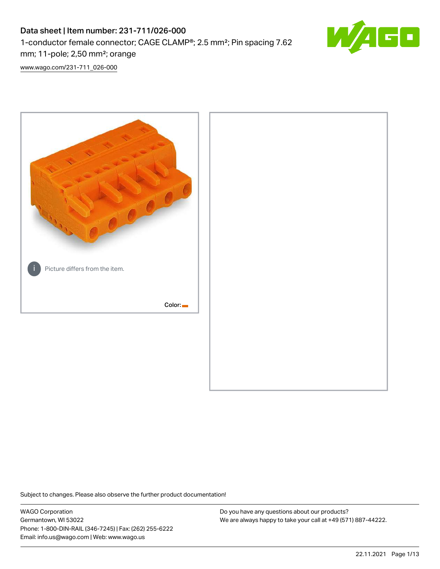# Data sheet | Item number: 231-711/026-000 1-conductor female connector; CAGE CLAMP®; 2.5 mm²; Pin spacing 7.62 mm; 11-pole; 2,50 mm²; orange



[www.wago.com/231-711\\_026-000](http://www.wago.com/231-711_026-000)



Subject to changes. Please also observe the further product documentation!

WAGO Corporation Germantown, WI 53022 Phone: 1-800-DIN-RAIL (346-7245) | Fax: (262) 255-6222 Email: info.us@wago.com | Web: www.wago.us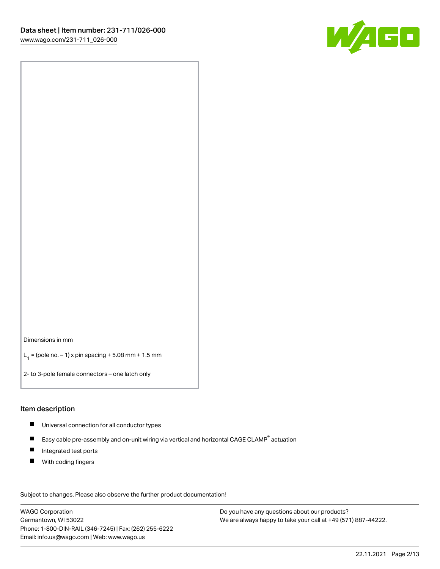

Dimensions in mm

 $L_1 =$  (pole no.  $-1$ ) x pin spacing + 5.08 mm + 1.5 mm

2- to 3-pole female connectors – one latch only

#### Item description

- Universal connection for all conductor types
- $\blacksquare$ Easy cable pre-assembly and on-unit wiring via vertical and horizontal CAGE CLAMP<sup>®</sup> actuation
- $\blacksquare$ Integrated test ports
- $\blacksquare$ With coding fingers

Subject to changes. Please also observe the further product documentation! Data

WAGO Corporation Germantown, WI 53022 Phone: 1-800-DIN-RAIL (346-7245) | Fax: (262) 255-6222 Email: info.us@wago.com | Web: www.wago.us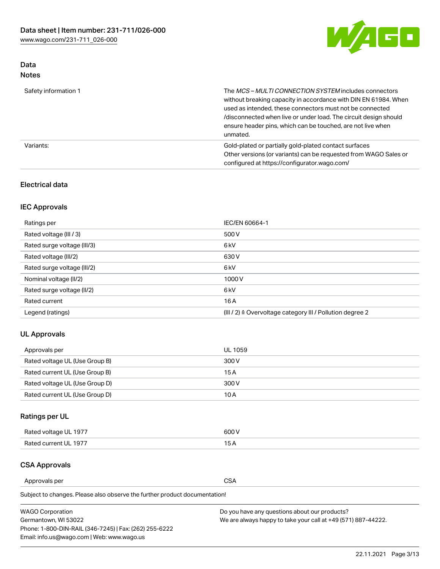

## Data Notes

| Safety information 1 | The MCS-MULTI CONNECTION SYSTEM includes connectors<br>without breaking capacity in accordance with DIN EN 61984. When<br>used as intended, these connectors must not be connected<br>/disconnected when live or under load. The circuit design should<br>ensure header pins, which can be touched, are not live when<br>unmated. |
|----------------------|-----------------------------------------------------------------------------------------------------------------------------------------------------------------------------------------------------------------------------------------------------------------------------------------------------------------------------------|
| Variants:            | Gold-plated or partially gold-plated contact surfaces<br>Other versions (or variants) can be requested from WAGO Sales or<br>configured at https://configurator.wago.com/                                                                                                                                                         |

## Electrical data

## IEC Approvals

| Ratings per                 | IEC/EN 60664-1                                                        |
|-----------------------------|-----------------------------------------------------------------------|
| Rated voltage (III / 3)     | 500 V                                                                 |
| Rated surge voltage (III/3) | 6 <sub>kV</sub>                                                       |
| Rated voltage (III/2)       | 630 V                                                                 |
| Rated surge voltage (III/2) | 6 <sub>k</sub> V                                                      |
| Nominal voltage (II/2)      | 1000V                                                                 |
| Rated surge voltage (II/2)  | 6 <sub>kV</sub>                                                       |
| Rated current               | 16A                                                                   |
| Legend (ratings)            | $(III / 2)$ $\triangle$ Overvoltage category III / Pollution degree 2 |

## UL Approvals

| Approvals per                  | UL 1059 |
|--------------------------------|---------|
| Rated voltage UL (Use Group B) | 300 V   |
| Rated current UL (Use Group B) | 15 A    |
| Rated voltage UL (Use Group D) | 300 V   |
| Rated current UL (Use Group D) | 10 A    |

## Ratings per UL

| Rated voltage UL 1977 | 300 V |
|-----------------------|-------|
| Rated current UL 1977 |       |

## CSA Approvals

Approvals per CSA

Subject to changes. Please also observe the further product documentation!

| <b>WAGO Corporation</b>                                | Do you have any questions about our products?                 |
|--------------------------------------------------------|---------------------------------------------------------------|
| Germantown, WI 53022                                   | We are always happy to take your call at +49 (571) 887-44222. |
| Phone: 1-800-DIN-RAIL (346-7245)   Fax: (262) 255-6222 |                                                               |
| Email: info.us@wago.com   Web: www.wago.us             |                                                               |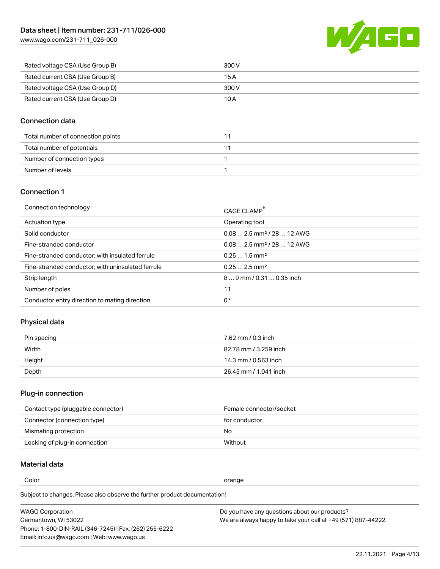[www.wago.com/231-711\\_026-000](http://www.wago.com/231-711_026-000)



| Rated voltage CSA (Use Group B) | 300 V |
|---------------------------------|-------|
| Rated current CSA (Use Group B) | 15 A  |
| Rated voltage CSA (Use Group D) | 300 V |
| Rated current CSA (Use Group D) | 10 A  |

## Connection data

| Total number of connection points |  |
|-----------------------------------|--|
| Total number of potentials        |  |
| Number of connection types        |  |
| Number of levels                  |  |

## Connection 1

| Connection technology                             | CAGE CLAMP®                             |
|---------------------------------------------------|-----------------------------------------|
| Actuation type                                    | Operating tool                          |
| Solid conductor                                   | $0.08$ 2.5 mm <sup>2</sup> / 28  12 AWG |
| Fine-stranded conductor                           | $0.082.5$ mm <sup>2</sup> / 28  12 AWG  |
| Fine-stranded conductor; with insulated ferrule   | $0.251.5$ mm <sup>2</sup>               |
| Fine-stranded conductor; with uninsulated ferrule | $0.252.5$ mm <sup>2</sup>               |
| Strip length                                      | $89$ mm / 0.31  0.35 inch               |
| Number of poles                                   | 11                                      |
| Conductor entry direction to mating direction     | 0°                                      |
|                                                   |                                         |

## Physical data

| Pin spacing | 7.62 mm / 0.3 inch    |
|-------------|-----------------------|
| Width       | 82.78 mm / 3.259 inch |
| Height      | 14.3 mm / 0.563 inch  |
| Depth       | 26.45 mm / 1.041 inch |

## Plug-in connection

| Contact type (pluggable connector) | Female connector/socket |
|------------------------------------|-------------------------|
| Connector (connection type)        | for conductor           |
| Mismating protection               | No                      |
| Locking of plug-in connection      | Without                 |

## Material data

Color contracts and contracts of the contracts of the contracts of the contracts of the contracts of the contracts of the contracts of the contracts of the contracts of the contracts of the contracts of the contracts of th

Subject to changes. Please also observe the further product documentation! Material group I

| <b>WAGO Corporation</b>                                | Do you have any questions about our products?                 |
|--------------------------------------------------------|---------------------------------------------------------------|
| Germantown, WI 53022                                   | We are always happy to take your call at +49 (571) 887-44222. |
| Phone: 1-800-DIN-RAIL (346-7245)   Fax: (262) 255-6222 |                                                               |
| Email: info.us@wago.com   Web: www.wago.us             |                                                               |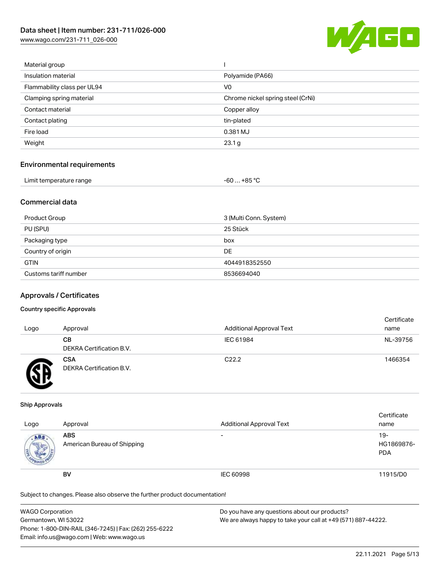[www.wago.com/231-711\\_026-000](http://www.wago.com/231-711_026-000)



| Material group              |                                   |
|-----------------------------|-----------------------------------|
| Insulation material         | Polyamide (PA66)                  |
| Flammability class per UL94 | V <sub>0</sub>                    |
| Clamping spring material    | Chrome nickel spring steel (CrNi) |
| Contact material            | Copper alloy                      |
| Contact plating             | tin-plated                        |
| Fire load                   | 0.381 MJ                          |
| Weight                      | 23.1 g                            |
|                             |                                   |

## Environmental requirements

| Limit temperature range | $-60+85 °C$ |  |
|-------------------------|-------------|--|
|-------------------------|-------------|--|

## Commercial data

| Product Group         | 3 (Multi Conn. System) |
|-----------------------|------------------------|
| PU (SPU)              | 25 Stück               |
| Packaging type        | box                    |
| Country of origin     | <b>DE</b>              |
| <b>GTIN</b>           | 4044918352550          |
| Customs tariff number | 8536694040             |

## Approvals / Certificates

### Country specific Approvals

| Logo | Approval                               | <b>Additional Approval Text</b> | Certificate<br>name |
|------|----------------------------------------|---------------------------------|---------------------|
|      | CВ<br><b>DEKRA Certification B.V.</b>  | IEC 61984                       | NL-39756            |
|      | <b>CSA</b><br>DEKRA Certification B.V. | C <sub>22.2</sub>               | 1466354             |

### Ship Approvals

| Logo | Approval                                  | <b>Additional Approval Text</b> | Certificate<br>name               |
|------|-------------------------------------------|---------------------------------|-----------------------------------|
| ABS  | <b>ABS</b><br>American Bureau of Shipping | $\overline{\phantom{0}}$        | $19-$<br>HG1869876-<br><b>PDA</b> |
|      | <b>BV</b>                                 | IEC 60998                       | 11915/D0                          |

Subject to changes. Please also observe the further product documentation!

| WAGO Corporation                                       | Do you have any questions about our products?                 |
|--------------------------------------------------------|---------------------------------------------------------------|
| Germantown, WI 53022                                   | We are always happy to take your call at +49 (571) 887-44222. |
| Phone: 1-800-DIN-RAIL (346-7245)   Fax: (262) 255-6222 |                                                               |
| Email: info.us@wago.com   Web: www.wago.us             |                                                               |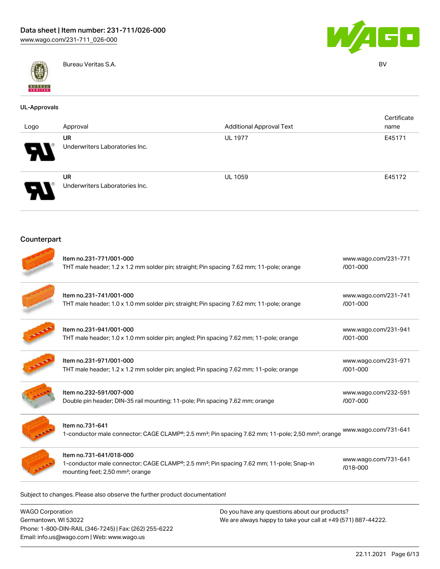



Bureau Veritas S.A. BV

| <b>UL-Approvals</b> |                                                                                                                                                                                 |                                 |                                  |
|---------------------|---------------------------------------------------------------------------------------------------------------------------------------------------------------------------------|---------------------------------|----------------------------------|
| Logo                | Approval                                                                                                                                                                        | <b>Additional Approval Text</b> | Certificate<br>name              |
|                     | <b>UR</b><br>Underwriters Laboratories Inc.                                                                                                                                     | <b>UL 1977</b>                  | E45171                           |
|                     | <b>UR</b><br>Underwriters Laboratories Inc.                                                                                                                                     | <b>UL 1059</b>                  | E45172                           |
| Counterpart         |                                                                                                                                                                                 |                                 |                                  |
|                     | Item no.231-771/001-000<br>THT male header; 1.2 x 1.2 mm solder pin; straight; Pin spacing 7.62 mm; 11-pole; orange                                                             |                                 | www.wago.com/231-771<br>/001-000 |
|                     | Item no.231-741/001-000<br>THT male header; 1.0 x 1.0 mm solder pin; straight; Pin spacing 7.62 mm; 11-pole; orange                                                             |                                 | www.wago.com/231-741<br>/001-000 |
|                     | Item no.231-941/001-000<br>THT male header; 1.0 x 1.0 mm solder pin; angled; Pin spacing 7.62 mm; 11-pole; orange                                                               |                                 | www.wago.com/231-941<br>/001-000 |
|                     | Item no.231-971/001-000<br>THT male header; 1.2 x 1.2 mm solder pin; angled; Pin spacing 7.62 mm; 11-pole; orange                                                               |                                 | www.wago.com/231-971<br>/001-000 |
|                     | Item no.232-591/007-000<br>Double pin header; DIN-35 rail mounting; 11-pole; Pin spacing 7.62 mm; orange                                                                        |                                 | www.wago.com/232-591<br>/007-000 |
|                     | Item no.731-641<br>1-conductor male connector; CAGE CLAMP®; 2.5 mm <sup>2</sup> ; Pin spacing 7.62 mm; 11-pole; 2,50 mm <sup>2</sup> ; orange                                   |                                 | www.wago.com/731-641             |
|                     | Item no.731-641/018-000<br>1-conductor male connector; CAGE CLAMP®; 2.5 mm <sup>2</sup> ; Pin spacing 7.62 mm; 11-pole; Snap-in<br>mounting feet; 2,50 mm <sup>2</sup> ; orange |                                 | www.wago.com/731-641<br>/018-000 |

WAGO Corporation Germantown, WI 53022 Phone: 1-800-DIN-RAIL (346-7245) | Fax: (262) 255-6222 Email: info.us@wago.com | Web: www.wago.us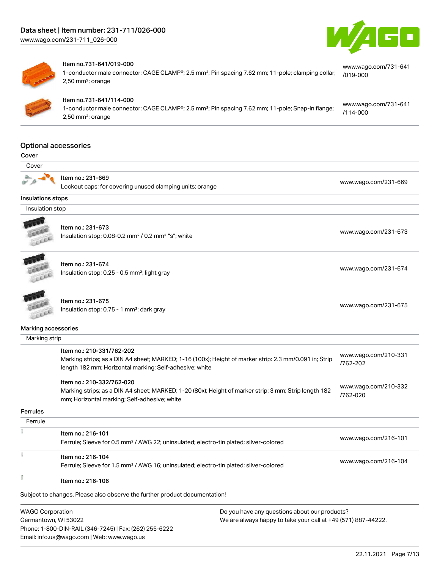



#### Item no.731-641/019-000

1-conductor male connector; CAGE CLAMP®; 2.5 mm²; Pin spacing 7.62 mm; 11-pole; clamping collar; 2,50 mm²; orange [www.wago.com/731-641](https://www.wago.com/731-641/019-000) [/019-000](https://www.wago.com/731-641/019-000)



#### Item no.731-641/114-000

1-conductor male connector; CAGE CLAMP®; 2.5 mm²; Pin spacing 7.62 mm; 11-pole; Snap-in flange; 2,50 mm²; orange [www.wago.com/731-641](https://www.wago.com/731-641/114-000) [/114-000](https://www.wago.com/731-641/114-000)

#### Optional accessories

#### Cover



Item no.: 231-669

Lockout caps; for covering unused clamping units; orange [www.wago.com/231-669](http://www.wago.com/231-669)

#### Insulations stops

Insulation stop



Item no.: 231-673

Insulation stop; 0.08-0.2 mm<sup>2</sup> / 0.2 mm<sup>2</sup> "s"; white [www.wago.com/231-673](http://www.wago.com/231-673) www.wago.com/231-673



## Item no.: 231-674

Insulation stop; 0.25 - 0.5 mm²; light gray [www.wago.com/231-674](http://www.wago.com/231-674)



Item no.: 231-675 Insulation stop; 0.75 - 1 mm²; dark gray [www.wago.com/231-675](http://www.wago.com/231-675)<br>Insulation stop; 0.75 - 1 mm²; dark gray

#### Marking accessories

Marking strip

|                 | Item no.: 210-331/762-202<br>Marking strips; as a DIN A4 sheet; MARKED; 1-16 (100x); Height of marker strip: 2.3 mm/0.091 in; Strip<br>length 182 mm; Horizontal marking; Self-adhesive; white | www.wago.com/210-331<br>/762-202 |
|-----------------|------------------------------------------------------------------------------------------------------------------------------------------------------------------------------------------------|----------------------------------|
|                 | Item no.: 210-332/762-020<br>Marking strips; as a DIN A4 sheet; MARKED; 1-20 (80x); Height of marker strip: 3 mm; Strip length 182<br>mm; Horizontal marking; Self-adhesive; white             | www.wago.com/210-332<br>/762-020 |
| <b>Ferrules</b> |                                                                                                                                                                                                |                                  |
| Ferrule         |                                                                                                                                                                                                |                                  |
|                 | Item no.: 216-101<br>Ferrule; Sleeve for 0.5 mm <sup>2</sup> / AWG 22; uninsulated; electro-tin plated; silver-colored                                                                         | www.wago.com/216-101             |
|                 | Item no.: 216-104<br>Ferrule; Sleeve for 1.5 mm <sup>2</sup> / AWG 16; uninsulated; electro-tin plated; silver-colored                                                                         | www.wago.com/216-104             |
|                 | Item no.: 216-106                                                                                                                                                                              |                                  |

Subject to changes. Please also observe the further product documentation!

WAGO Corporation Germantown, WI 53022 Phone: 1-800-DIN-RAIL (346-7245) | Fax: (262) 255-6222 Email: info.us@wago.com | Web: www.wago.us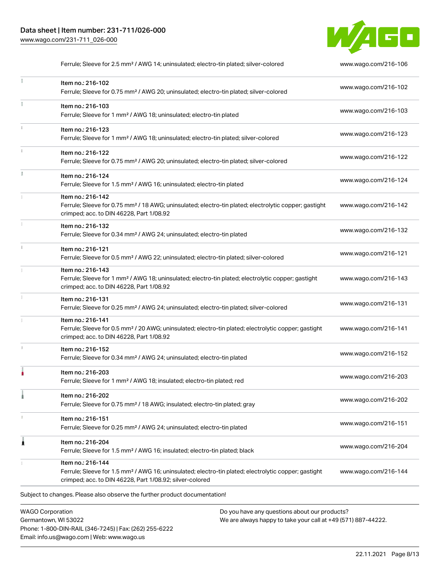

Ferrule; Sleeve for 2.5 mm² / AWG 14; uninsulated; electro-tin plated; silver-colored [www.wago.com/216-106](http://www.wago.com/216-106)  $\frac{1}{2}$ Item no.: 216-102 Ferrule; Sleeve for 0.75 mm² / AWG 20; uninsulated; electro-tin plated; silver-colored [www.wago.com/216-102](http://www.wago.com/216-102) Item no.: 216-103 Ferrule; Sleeve for 1 mm² / AWG 18; uninsulated; electro-tin plated [www.wago.com/216-103](http://www.wago.com/216-103) Item no.: 216-123 Ferrule; Sleeve for 1 mm² / AWG 18; uninsulated; electro-tin plated; silver-colored [www.wago.com/216-123](http://www.wago.com/216-123) Item no.: 216-122 Ferrule; Sleeve for 0.75 mm² / AWG 20; uninsulated; electro-tin plated; silver-colored [www.wago.com/216-122](http://www.wago.com/216-122) Item no.: 216-124 Ferrule; Sleeve for 1.5 mm² / AWG 16; uninsulated; electro-tin plated [www.wago.com/216-124](http://www.wago.com/216-124) Item no.: 216-142 Ferrule; Sleeve for 0.75 mm² / 18 AWG; uninsulated; electro-tin plated; electrolytic copper; gastight [www.wago.com/216-142](http://www.wago.com/216-142) crimped; acc. to DIN 46228, Part 1/08.92 Item no.: 216-132 Ferrule; Sleeve for 0.34 mm² / AWG 24; uninsulated; electro-tin plated [www.wago.com/216-132](http://www.wago.com/216-132) Item no.: 216-121 Ferrule; Sleeve for 0.5 mm² / AWG 22; uninsulated; electro-tin plated; silver-colored [www.wago.com/216-121](http://www.wago.com/216-121) Item no.: 216-143 Ferrule; Sleeve for 1 mm² / AWG 18; uninsulated; electro-tin plated; electrolytic copper; gastight [www.wago.com/216-143](http://www.wago.com/216-143) crimped; acc. to DIN 46228, Part 1/08.92 Item no.: 216-131 Ferrule; Sleeve for 0.25 mm² / AWG 24; uninsulated; electro-tin plated; silver-colored [www.wago.com/216-131](http://www.wago.com/216-131) Item no.: 216-141 Ferrule; Sleeve for 0.5 mm² / 20 AWG; uninsulated; electro-tin plated; electrolytic copper; gastight [www.wago.com/216-141](http://www.wago.com/216-141) crimped; acc. to DIN 46228, Part 1/08.92 Item no.: 216-152 Ferrule; Sleeve for 0.34 mm² / AWG 24; uninsulated; electro-tin plated [www.wago.com/216-152](http://www.wago.com/216-152) Item no.: 216-203 Ferrule; Sleeve for 1 mm² / AWG 18; insulated; electro-tin plated; red [www.wago.com/216-203](http://www.wago.com/216-203) Item no.: 216-202 Ferrule; Sleeve for 0.75 mm² / 18 AWG; insulated; electro-tin plated; gray [www.wago.com/216-202](http://www.wago.com/216-202) Item no.: 216-151 Ferrule; Sleeve for 0.25 mm² / AWG 24; uninsulated; electro-tin plated [www.wago.com/216-151](http://www.wago.com/216-151) Item no.: 216-204 Ferrule; Sleeve for 1.5 mm² / AWG 16; insulated; electro-tin plated; black [www.wago.com/216-204](http://www.wago.com/216-204) Item no.: 216-144 Ferrule; Sleeve for 1.5 mm² / AWG 16; uninsulated; electro-tin plated; electrolytic copper; gastight [www.wago.com/216-144](http://www.wago.com/216-144) crimped; acc. to DIN 46228, Part 1/08.92; silver-colored Subject to changes. Please also observe the further product documentation!

WAGO Corporation Germantown, WI 53022 Phone: 1-800-DIN-RAIL (346-7245) | Fax: (262) 255-6222 Email: info.us@wago.com | Web: www.wago.us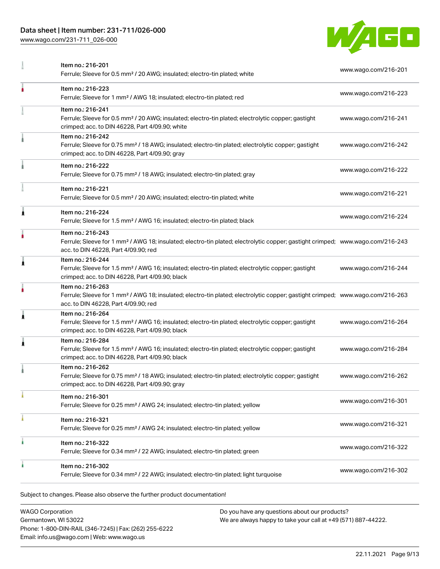## Data sheet | Item number: 231-711/026-000

[www.wago.com/231-711\\_026-000](http://www.wago.com/231-711_026-000)



|   | Item no.: 216-201<br>Ferrule; Sleeve for 0.5 mm <sup>2</sup> / 20 AWG; insulated; electro-tin plated; white                                                                                             | www.wago.com/216-201 |
|---|---------------------------------------------------------------------------------------------------------------------------------------------------------------------------------------------------------|----------------------|
| ۸ | Item no.: 216-223<br>Ferrule; Sleeve for 1 mm <sup>2</sup> / AWG 18; insulated; electro-tin plated; red                                                                                                 | www.wago.com/216-223 |
|   | Item no.: 216-241<br>Ferrule; Sleeve for 0.5 mm <sup>2</sup> / 20 AWG; insulated; electro-tin plated; electrolytic copper; gastight<br>crimped; acc. to DIN 46228, Part 4/09.90; white                  | www.wago.com/216-241 |
|   | Item no.: 216-242<br>Ferrule; Sleeve for 0.75 mm <sup>2</sup> / 18 AWG; insulated; electro-tin plated; electrolytic copper; gastight<br>crimped; acc. to DIN 46228, Part 4/09.90; gray                  | www.wago.com/216-242 |
|   | Item no.: 216-222<br>Ferrule; Sleeve for 0.75 mm <sup>2</sup> / 18 AWG; insulated; electro-tin plated; gray                                                                                             | www.wago.com/216-222 |
|   | Item no.: 216-221<br>Ferrule; Sleeve for 0.5 mm <sup>2</sup> / 20 AWG; insulated; electro-tin plated; white                                                                                             | www.wago.com/216-221 |
| 1 | Item no.: 216-224<br>Ferrule; Sleeve for 1.5 mm <sup>2</sup> / AWG 16; insulated; electro-tin plated; black                                                                                             | www.wago.com/216-224 |
| ٠ | Item no.: 216-243<br>Ferrule; Sleeve for 1 mm <sup>2</sup> / AWG 18; insulated; electro-tin plated; electrolytic copper; gastight crimped; www.wago.com/216-243<br>acc. to DIN 46228, Part 4/09.90; red |                      |
| Ă | Item no.: 216-244<br>Ferrule; Sleeve for 1.5 mm <sup>2</sup> / AWG 16; insulated; electro-tin plated; electrolytic copper; gastight<br>crimped; acc. to DIN 46228, Part 4/09.90; black                  | www.wago.com/216-244 |
|   | Item no.: 216-263<br>Ferrule; Sleeve for 1 mm <sup>2</sup> / AWG 18; insulated; electro-tin plated; electrolytic copper; gastight crimped; www.wago.com/216-263<br>acc. to DIN 46228, Part 4/09.90; red |                      |
| 1 | Item no.: 216-264<br>Ferrule; Sleeve for 1.5 mm <sup>2</sup> / AWG 16; insulated; electro-tin plated; electrolytic copper; gastight<br>crimped; acc. to DIN 46228, Part 4/09.90; black                  | www.wago.com/216-264 |
| 1 | Item no.: 216-284<br>Ferrule; Sleeve for 1.5 mm <sup>2</sup> / AWG 16; insulated; electro-tin plated; electrolytic copper; gastight<br>crimped; acc. to DIN 46228, Part 4/09.90; black                  | www.wago.com/216-284 |
|   | Item no.: 216-262<br>Ferrule; Sleeve for 0.75 mm <sup>2</sup> / 18 AWG; insulated; electro-tin plated; electrolytic copper; gastight<br>crimped; acc. to DIN 46228, Part 4/09.90; gray                  | www.wago.com/216-262 |
|   | Item no.: 216-301<br>Ferrule; Sleeve for 0.25 mm <sup>2</sup> / AWG 24; insulated; electro-tin plated; yellow                                                                                           | www.wago.com/216-301 |
|   | Item no.: 216-321<br>Ferrule; Sleeve for 0.25 mm <sup>2</sup> / AWG 24; insulated; electro-tin plated; yellow                                                                                           | www.wago.com/216-321 |
| ٠ | Item no.: 216-322<br>Ferrule; Sleeve for 0.34 mm <sup>2</sup> / 22 AWG; insulated; electro-tin plated; green                                                                                            | www.wago.com/216-322 |
|   | Item no.: 216-302<br>Ferrule; Sleeve for 0.34 mm <sup>2</sup> / 22 AWG; insulated; electro-tin plated; light turquoise                                                                                  | www.wago.com/216-302 |

WAGO Corporation Germantown, WI 53022 Phone: 1-800-DIN-RAIL (346-7245) | Fax: (262) 255-6222 Email: info.us@wago.com | Web: www.wago.us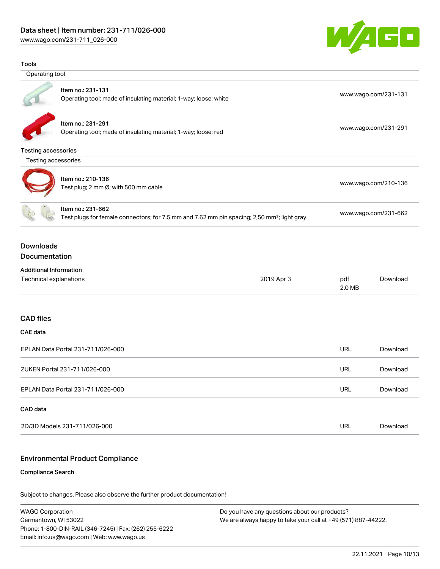## Data sheet | Item number: 231-711/026-000

[www.wago.com/231-711\\_026-000](http://www.wago.com/231-711_026-000)

Tools



# Operating tool Item no.: 231-131 Operating tool; made of insulating material; 1-way; loose; white [www.wago.com/231-131](http://www.wago.com/231-131) www.wago.com/231-131 Item no.: 231-291 Operating tool; made of insulating material; 1-way; loose; red [www.wago.com/231-291](http://www.wago.com/231-291) Testing accessories Testing accessories Item no.: 210-136 ntem no... 210 100<br>Test plug; 2 mm Ø; with 500 mm cable [www.wago.com/210-136](http://www.wago.com/210-136) Item no.: 231-662 Test plugs for female connectors; for 7.5 mm and 7.62 mm pin spacing; 2,50 mm²; light gray [www.wago.com/231-662](http://www.wago.com/231-662) Downloads Documentation Additional Information Technical explanations 2019 Apr 3 pdf 2.0 MB CAD files CAE data EPLAN Data Portal 231-711/026-000 URL [Download](https://www.wago.com/global/d/EPLAN_URLS_231-711%252F026-000)

| ZUKEN Portal 231-711/026-000      | URL | Download |
|-----------------------------------|-----|----------|
| EPLAN Data Portal 231-711/026-000 | URL | Download |
| CAD data                          |     |          |
| 2D/3D Models 231-711/026-000      | URL | Download |

## Environmental Product Compliance

#### Compliance Search

Subject to changes. Please also observe the further product documentation!

WAGO Corporation Germantown, WI 53022 Phone: 1-800-DIN-RAIL (346-7245) | Fax: (262) 255-6222 Email: info.us@wago.com | Web: www.wago.us

Do you have any questions about our products? We are always happy to take your call at +49 (571) 887-44222.

[Download](https://www.wago.com/global/d/1435602)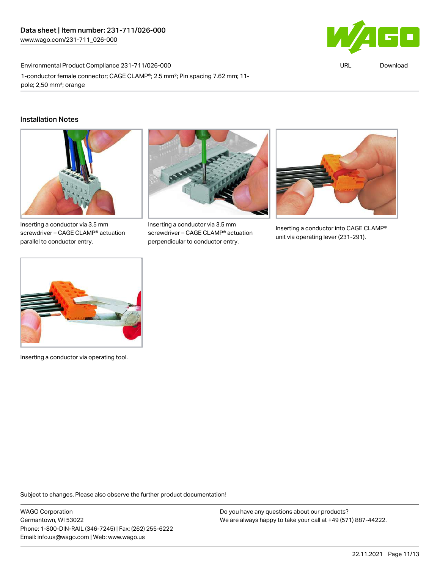Environmental Product Compliance 231-711/026-000



URL [Download](https://www.wago.com/global/d/ComplianceLinkMediaContainer_231-711_026-000)

1-conductor female connector; CAGE CLAMP®; 2.5 mm²; Pin spacing 7.62 mm; 11 pole; 2,50 mm²; orange

## Installation Notes



Inserting a conductor via 3.5 mm screwdriver – CAGE CLAMP® actuation parallel to conductor entry.



Inserting a conductor via 3.5 mm screwdriver – CAGE CLAMP® actuation perpendicular to conductor entry.



Inserting a conductor into CAGE CLAMP® unit via operating lever (231-291).



Inserting a conductor via operating tool.

Subject to changes. Please also observe the further product documentation!

WAGO Corporation Germantown, WI 53022 Phone: 1-800-DIN-RAIL (346-7245) | Fax: (262) 255-6222 Email: info.us@wago.com | Web: www.wago.us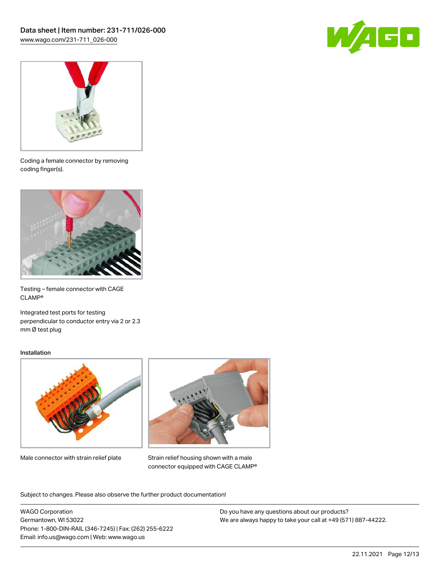



Coding a female connector by removing coding finger(s).



Testing – female connector with CAGE CLAMP®

Integrated test ports for testing perpendicular to conductor entry via 2 or 2.3 mm Ø test plug

#### Installation



Male connector with strain relief plate



Strain relief housing shown with a male connector equipped with CAGE CLAMP®

Subject to changes. Please also observe the further product documentation!

WAGO Corporation Germantown, WI 53022 Phone: 1-800-DIN-RAIL (346-7245) | Fax: (262) 255-6222 Email: info.us@wago.com | Web: www.wago.us